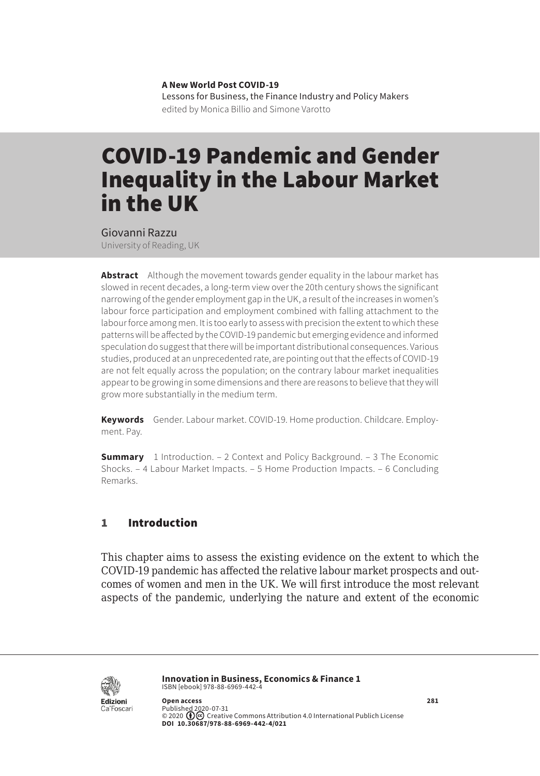**A New World Post COVID-19** Lessons for Business, the Finance Industry and Policy Makers edited by Monica Billio and Simone Varotto

# COVID-19 Pandemic and Gender Inequality in the Labour Market in the UK

Giovanni Razzu

University of Reading, UK

**Abstract** Although the movement towards gender equality in the labour market has slowed in recent decades, a long-term view over the 20th century shows the significant narrowing of the gender employment gap in the UK, a result of the increases in women's labour force participation and employment combined with falling attachment to the labour force among men. It is too early to assess with precision the extent to which these patterns will be affected by the COVID-19 pandemic but emerging evidence and informed speculation do suggest that there will be important distributional consequences. Various studies, produced at an unprecedented rate, are pointing out that the effects of COVID-19 are not felt equally across the population; on the contrary labour market inequalities appear to be growing in some dimensions and there are reasons to believe that they will grow more substantially in the medium term.

**Keywords** Gender. Labour market. COVID-19. Home production. Childcare. Employment. Pay.

**Summary** [1 Introduction](#page-1-0). – [2 Context and Policy Background](#page-1-0). – 3 The Economic [Shocks.](#page-2-0) – [4 Labour Market Impacts.](#page-3-0) – [5 Home Production Impacts](#page-6-0). – [6 Concluding](#page-7-0)  [Remarks](#page-7-0).

## 1 Introduction

This chapter aims to assess the existing evidence on the extent to which the COVID-19 pandemic has affected the relative labour market prospects and outcomes of women and men in the UK. We will first introduce the most relevant aspects of the pandemic, underlying the nature and extent of the economic



**Innovation in Business, Economics & Finance 1** ISBN [ebook] 978-88-6969-442-4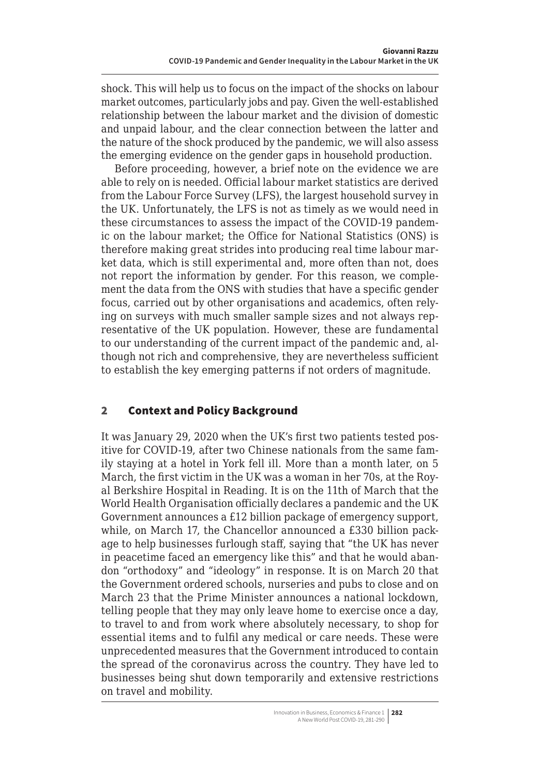<span id="page-1-0"></span>shock. This will help us to focus on the impact of the shocks on labour market outcomes, particularly jobs and pay. Given the well-established relationship between the labour market and the division of domestic and unpaid labour, and the clear connection between the latter and the nature of the shock produced by the pandemic, we will also assess the emerging evidence on the gender gaps in household production.

Before proceeding, however, a brief note on the evidence we are able to rely on is needed. Official labour market statistics are derived from the Labour Force Survey (LFS), the largest household survey in the UK. Unfortunately, the LFS is not as timely as we would need in these circumstances to assess the impact of the COVID-19 pandemic on the labour market; the Office for National Statistics (ONS) is therefore making great strides into producing real time labour market data, which is still experimental and, more often than not, does not report the information by gender. For this reason, we complement the data from the ONS with studies that have a specific gender focus, carried out by other organisations and academics, often relying on surveys with much smaller sample sizes and not always representative of the UK population. However, these are fundamental to our understanding of the current impact of the pandemic and, although not rich and comprehensive, they are nevertheless sufficient to establish the key emerging patterns if not orders of magnitude.

## 2 Context and Policy Background

It was January 29, 2020 when the UK's first two patients tested positive for COVID-19, after two Chinese nationals from the same family staying at a hotel in York fell ill. More than a month later, on 5 March, the first victim in the UK was a woman in her 70s, at the Royal Berkshire Hospital in Reading. It is on the 11th of March that the World Health Organisation officially declares a pandemic and the UK Government announces a £12 billion package of emergency support, while, on March 17, the Chancellor announced a £330 billion package to help businesses furlough staff, saying that "the UK has never in peacetime faced an emergency like this" and that he would abandon "orthodoxy" and "ideology" in response. It is on March 20 that the Government ordered schools, nurseries and pubs to close and on March 23 that the Prime Minister announces a national lockdown, telling people that they may only leave home to exercise once a day, to travel to and from work where absolutely necessary, to shop for essential items and to fulfil any medical or care needs. These were unprecedented measures that the Government introduced to contain the spread of the coronavirus across the country. They have led to businesses being shut down temporarily and extensive restrictions on travel and mobility.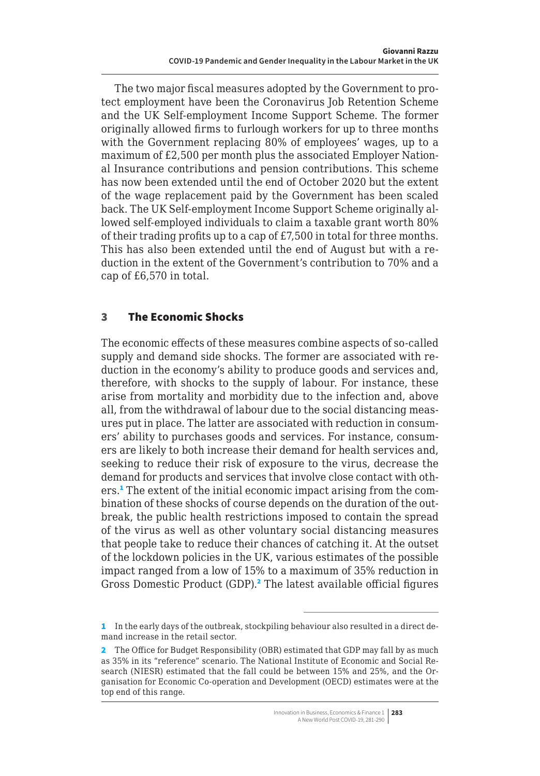<span id="page-2-0"></span>The two major fiscal measures adopted by the Government to protect employment have been the Coronavirus Job Retention Scheme and the UK Self-employment Income Support Scheme. The former originally allowed firms to furlough workers for up to three months with the Government replacing 80% of employees' wages, up to a maximum of £2,500 per month plus the associated Employer National Insurance contributions and pension contributions. This scheme has now been extended until the end of October 2020 but the extent of the wage replacement paid by the Government has been scaled back. The UK Self-employment Income Support Scheme originally allowed self-employed individuals to claim a taxable grant worth 80% of their trading profits up to a cap of £7,500 in total for three months. This has also been extended until the end of August but with a reduction in the extent of the Government's contribution to 70% and a cap of £6,570 in total.

## 3 The Economic Shocks

The economic effects of these measures combine aspects of so-called supply and demand side shocks. The former are associated with reduction in the economy's ability to produce goods and services and, therefore, with shocks to the supply of labour. For instance, these arise from mortality and morbidity due to the infection and, above all, from the withdrawal of labour due to the social distancing measures put in place. The latter are associated with reduction in consumers' ability to purchases goods and services. For instance, consumers are likely to both increase their demand for health services and, seeking to reduce their risk of exposure to the virus, decrease the demand for products and services that involve close contact with others.<sup>1</sup> The extent of the initial economic impact arising from the combination of these shocks of course depends on the duration of the outbreak, the public health restrictions imposed to contain the spread of the virus as well as other voluntary social distancing measures that people take to reduce their chances of catching it. At the outset of the lockdown policies in the UK, various estimates of the possible impact ranged from a low of 15% to a maximum of 35% reduction in Gross Domestic Product (GDP).<sup>2</sup> The latest available official figures

<sup>1</sup> In the early days of the outbreak, stockpiling behaviour also resulted in a direct demand increase in the retail sector.

<sup>2</sup> The Office for Budget Responsibility (OBR) estimated that GDP may fall by as much as 35% in its "reference" scenario. The National Institute of Economic and Social Research (NIESR) estimated that the fall could be between 15% and 25%, and the Organisation for Economic Co-operation and Development (OECD) estimates were at the top end of this range.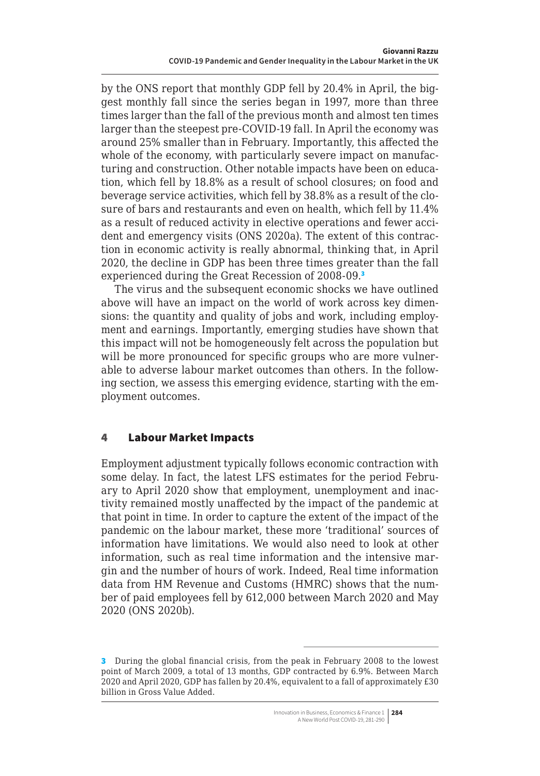<span id="page-3-0"></span>by the ONS report that monthly GDP fell by 20.4% in April, the biggest monthly fall since the series began in 1997, more than three times larger than the fall of the previous month and almost ten times larger than the steepest pre-COVID-19 fall. In April the economy was around 25% smaller than in February. Importantly, this affected the whole of the economy, with particularly severe impact on manufacturing and construction. Other notable impacts have been on education, which fell by 18.8% as a result of school closures; on food and beverage service activities, which fell by 38.8% as a result of the closure of bars and restaurants and even on health, which fell by 11.4% as a result of reduced activity in elective operations and fewer accident and emergency visits (ONS 2020a). The extent of this contraction in economic activity is really abnormal, thinking that, in April 2020, the decline in GDP has been three times greater than the fall experienced during the Great Recession of 2008-09.<sup>3</sup>

The virus and the subsequent economic shocks we have outlined above will have an impact on the world of work across key dimensions: the quantity and quality of jobs and work, including employment and earnings. Importantly, emerging studies have shown that this impact will not be homogeneously felt across the population but will be more pronounced for specific groups who are more vulnerable to adverse labour market outcomes than others. In the following section, we assess this emerging evidence, starting with the employment outcomes.

### 4 Labour Market Impacts

Employment adjustment typically follows economic contraction with some delay. In fact, the latest LFS estimates for the period February to April 2020 show that employment, unemployment and inactivity remained mostly unaffected by the impact of the pandemic at that point in time. In order to capture the extent of the impact of the pandemic on the labour market, these more 'traditional' sources of information have limitations. We would also need to look at other information, such as real time information and the intensive margin and the number of hours of work. Indeed, Real time information data from HM Revenue and Customs (HMRC) shows that the number of paid employees fell by 612,000 between March 2020 and May 2020 (ONS 2020b).

<sup>3</sup> During the global financial crisis, from the peak in February 2008 to the lowest point of March 2009, a total of 13 months, GDP contracted by 6.9%. Between March 2020 and April 2020, GDP has fallen by 20.4%, equivalent to a fall of approximately £30 billion in Gross Value Added.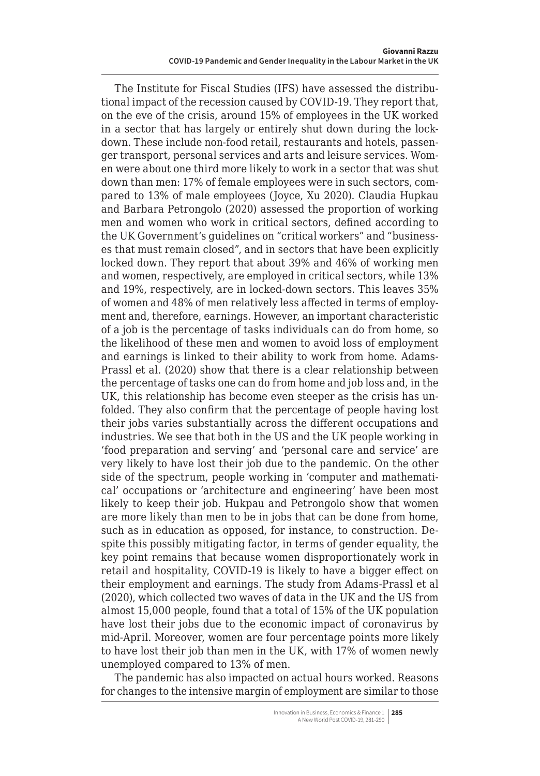The Institute for Fiscal Studies (IFS) have assessed the distributional impact of the recession caused by COVID-19. They report that, on the eve of the crisis, around 15% of employees in the UK worked in a sector that has largely or entirely shut down during the lockdown. These include non-food retail, restaurants and hotels, passenger transport, personal services and arts and leisure services. Women were about one third more likely to work in a sector that was shut down than men: 17% of female employees were in such sectors, compared to 13% of male employees (Joyce, Xu 2020). Claudia Hupkau and Barbara Petrongolo (2020) assessed the proportion of working men and women who work in critical sectors, defined according to the UK Government's guidelines on "critical workers" and "businesses that must remain closed", and in sectors that have been explicitly locked down. They report that about 39% and 46% of working men and women, respectively, are employed in critical sectors, while 13% and 19%, respectively, are in locked-down sectors. This leaves 35% of women and 48% of men relatively less affected in terms of employment and, therefore, earnings. However, an important characteristic of a job is the percentage of tasks individuals can do from home, so the likelihood of these men and women to avoid loss of employment and earnings is linked to their ability to work from home. Adams-Prassl et al. (2020) show that there is a clear relationship between the percentage of tasks one can do from home and job loss and, in the UK, this relationship has become even steeper as the crisis has unfolded. They also confirm that the percentage of people having lost their jobs varies substantially across the different occupations and industries. We see that both in the US and the UK people working in 'food preparation and serving' and 'personal care and service' are very likely to have lost their job due to the pandemic. On the other side of the spectrum, people working in 'computer and mathematical' occupations or 'architecture and engineering' have been most likely to keep their job. Hukpau and Petrongolo show that women are more likely than men to be in jobs that can be done from home, such as in education as opposed, for instance, to construction. Despite this possibly mitigating factor, in terms of gender equality, the key point remains that because women disproportionately work in retail and hospitality, COVID-19 is likely to have a bigger effect on their employment and earnings. The study from Adams-Prassl et al (2020), which collected two waves of data in the UK and the US from almost 15,000 people, found that a total of 15% of the UK population have lost their jobs due to the economic impact of coronavirus by mid-April. Moreover, women are four percentage points more likely to have lost their job than men in the UK, with 17% of women newly unemployed compared to 13% of men.

The pandemic has also impacted on actual hours worked. Reasons for changes to the intensive margin of employment are similar to those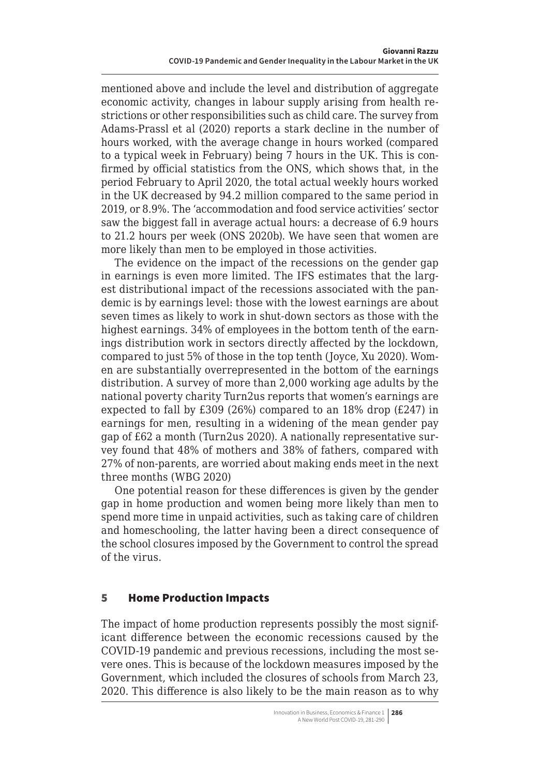mentioned above and include the level and distribution of aggregate economic activity, changes in labour supply arising from health restrictions or other responsibilities such as child care. The survey from Adams-Prassl et al (2020) reports a stark decline in the number of hours worked, with the average change in hours worked (compared to a typical week in February) being 7 hours in the UK. This is confirmed by official statistics from the ONS, which shows that, in the period February to April 2020, the total actual weekly hours worked in the UK decreased by 94.2 million compared to the same period in 2019, or 8.9%. The 'accommodation and food service activities' sector saw the biggest fall in average actual hours: a decrease of 6.9 hours to 21.2 hours per week (ONS 2020b). We have seen that women are more likely than men to be employed in those activities.

The evidence on the impact of the recessions on the gender gap in earnings is even more limited. The IFS estimates that the largest distributional impact of the recessions associated with the pandemic is by earnings level: those with the lowest earnings are about seven times as likely to work in shut-down sectors as those with the highest earnings. 34% of employees in the bottom tenth of the earnings distribution work in sectors directly affected by the lockdown, compared to just 5% of those in the top tenth (Joyce, Xu 2020). Women are substantially overrepresented in the bottom of the earnings distribution. A survey of more than 2,000 working age adults by the national poverty charity Turn2us reports that women's earnings are expected to fall by £309 (26%) compared to an 18% drop (£247) in earnings for men, resulting in a widening of the mean gender pay gap of £62 a month (Turn2us 2020). A nationally representative survey found that 48% of mothers and 38% of fathers, compared with 27% of non-parents, are worried about making ends meet in the next three months (WBG 2020)

One potential reason for these differences is given by the gender gap in home production and women being more likely than men to spend more time in unpaid activities, such as taking care of children and homeschooling, the latter having been a direct consequence of the school closures imposed by the Government to control the spread of the virus.

## 5 Home Production Impacts

The impact of home production represents possibly the most significant difference between the economic recessions caused by the COVID-19 pandemic and previous recessions, including the most severe ones. This is because of the lockdown measures imposed by the Government, which included the closures of schools from March 23, 2020. This difference is also likely to be the main reason as to why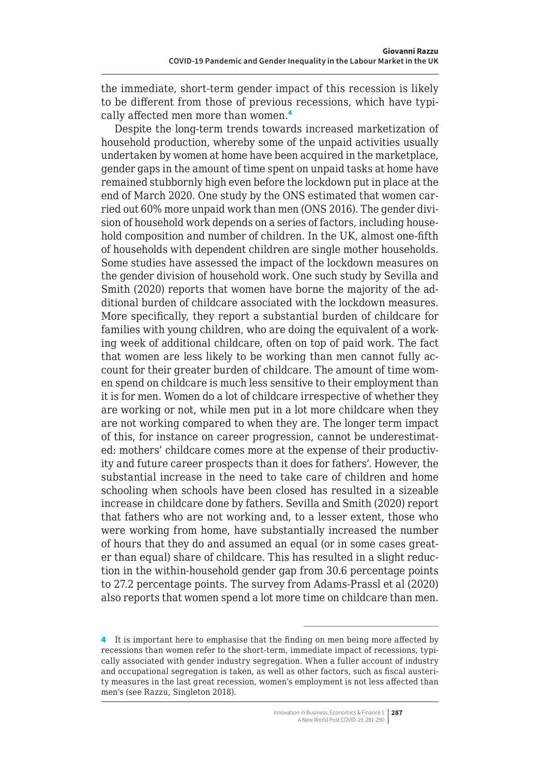<span id="page-6-0"></span>the immediate, short-term gender impact of this recession is likely to be different from those of previous recessions, which have typically affected men more than women.<sup>4</sup>

Despite the long-term trends towards increased marketization of household production, whereby some of the unpaid activities usually undertaken by women at home have been acquired in the marketplace, gender gaps in the amount of time spent on unpaid tasks at home have remained stubbornly high even before the lockdown put in place at the end of March 2020. One study by the ONS estimated that women carried out 60% more unpaid work than men (ONS 2016). The gender division of household work depends on a series of factors, including household composition and number of children. In the UK, almost one-fifth of households with dependent children are single mother households. Some studies have assessed the impact of the lockdown measures on the gender division of household work. One such study by Sevilla and Smith (2020) reports that women have borne the majority of the additional burden of childcare associated with the lockdown measures. More specifically, they report a substantial burden of childcare for families with young children, who are doing the equivalent of a working week of additional childcare, often on top of paid work. The fact that women are less likely to be working than men cannot fully account for their greater burden of childcare. The amount of time women spend on childcare is much less sensitive to their employment than it is for men. Women do a lot of childcare irrespective of whether they are working or not, while men put in a lot more childcare when they are not working compared to when they are. The longer term impact of this, for instance on career progression, cannot be underestimated: mothers' childcare comes more at the expense of their productivity and future career prospects than it does for fathers'. However, the substantial increase in the need to take care of children and home schooling when schools have been closed has resulted in a sizeable increase in childcare done by fathers. Sevilla and Smith (2020) report that fathers who are not working and, to a lesser extent, those who were working from home, have substantially increased the number of hours that they do and assumed an equal (or in some cases greater than equal) share of childcare. This has resulted in a slight reduction in the within-household gender gap from 30.6 percentage points to 27.2 percentage points. The survey from Adams-Prassl et al (2020) also reports that women spend a lot more time on childcare than men.

<sup>4</sup> It is important here to emphasise that the finding on men being more affected by recessions than women refer to the short-term, immediate impact of recessions, typically associated with gender industry segregation. When a fuller account of industry and occupational segregation is taken, as well as other factors, such as fiscal austerity measures in the last great recession, women's employment is not less affected than men's (see Razzu, Singleton 2018).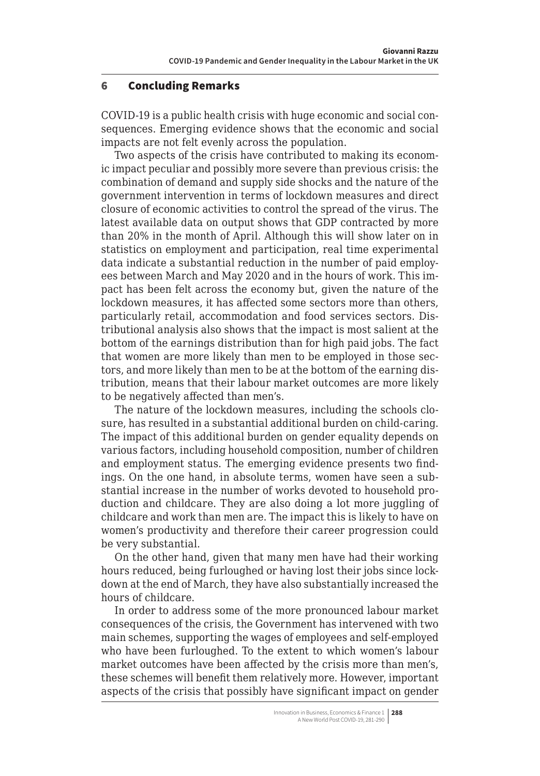#### <span id="page-7-0"></span>6 Concluding Remarks

COVID-19 is a public health crisis with huge economic and social consequences. Emerging evidence shows that the economic and social impacts are not felt evenly across the population.

Two aspects of the crisis have contributed to making its economic impact peculiar and possibly more severe than previous crisis: the combination of demand and supply side shocks and the nature of the government intervention in terms of lockdown measures and direct closure of economic activities to control the spread of the virus. The latest available data on output shows that GDP contracted by more than 20% in the month of April. Although this will show later on in statistics on employment and participation, real time experimental data indicate a substantial reduction in the number of paid employees between March and May 2020 and in the hours of work. This impact has been felt across the economy but, given the nature of the lockdown measures, it has affected some sectors more than others, particularly retail, accommodation and food services sectors. Distributional analysis also shows that the impact is most salient at the bottom of the earnings distribution than for high paid jobs. The fact that women are more likely than men to be employed in those sectors, and more likely than men to be at the bottom of the earning distribution, means that their labour market outcomes are more likely to be negatively affected than men's.

The nature of the lockdown measures, including the schools closure, has resulted in a substantial additional burden on child-caring. The impact of this additional burden on gender equality depends on various factors, including household composition, number of children and employment status. The emerging evidence presents two findings. On the one hand, in absolute terms, women have seen a substantial increase in the number of works devoted to household production and childcare. They are also doing a lot more juggling of childcare and work than men are. The impact this is likely to have on women's productivity and therefore their career progression could be very substantial.

On the other hand, given that many men have had their working hours reduced, being furloughed or having lost their jobs since lockdown at the end of March, they have also substantially increased the hours of childcare.

In order to address some of the more pronounced labour market consequences of the crisis, the Government has intervened with two main schemes, supporting the wages of employees and self-employed who have been furloughed. To the extent to which women's labour market outcomes have been affected by the crisis more than men's, these schemes will benefit them relatively more. However, important aspects of the crisis that possibly have significant impact on gender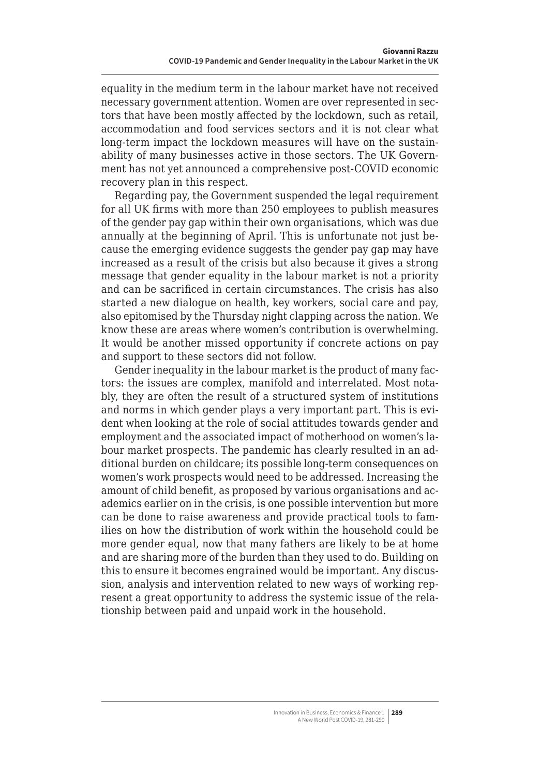equality in the medium term in the labour market have not received necessary government attention. Women are over represented in sectors that have been mostly affected by the lockdown, such as retail, accommodation and food services sectors and it is not clear what long-term impact the lockdown measures will have on the sustainability of many businesses active in those sectors. The UK Government has not yet announced a comprehensive post-COVID economic recovery plan in this respect.

Regarding pay, the Government suspended the legal requirement for all UK firms with more than 250 employees to publish measures of the gender pay gap within their own organisations, which was due annually at the beginning of April. This is unfortunate not just because the emerging evidence suggests the gender pay gap may have increased as a result of the crisis but also because it gives a strong message that gender equality in the labour market is not a priority and can be sacrificed in certain circumstances. The crisis has also started a new dialogue on health, key workers, social care and pay, also epitomised by the Thursday night clapping across the nation. We know these are areas where women's contribution is overwhelming. It would be another missed opportunity if concrete actions on pay and support to these sectors did not follow.

Gender inequality in the labour market is the product of many factors: the issues are complex, manifold and interrelated. Most notably, they are often the result of a structured system of institutions and norms in which gender plays a very important part. This is evident when looking at the role of social attitudes towards gender and employment and the associated impact of motherhood on women's labour market prospects. The pandemic has clearly resulted in an additional burden on childcare; its possible long-term consequences on women's work prospects would need to be addressed. Increasing the amount of child benefit, as proposed by various organisations and academics earlier on in the crisis, is one possible intervention but more can be done to raise awareness and provide practical tools to families on how the distribution of work within the household could be more gender equal, now that many fathers are likely to be at home and are sharing more of the burden than they used to do. Building on this to ensure it becomes engrained would be important. Any discussion, analysis and intervention related to new ways of working represent a great opportunity to address the systemic issue of the relationship between paid and unpaid work in the household.